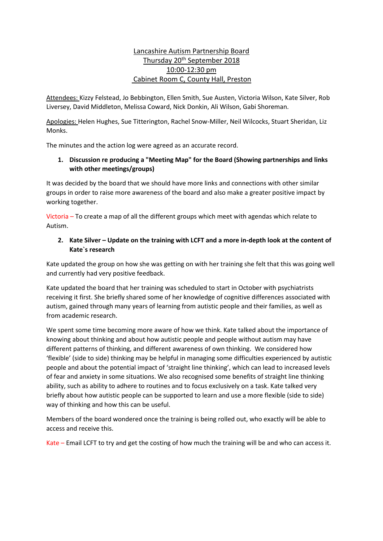# Lancashire Autism Partnership Board <u>Thursday 20<sup>th</sup> September 2018</u> 10:00-12:30 pm Cabinet Room C, County Hall, Preston

Attendees: Kizzy Felstead, Jo Bebbington, Ellen Smith, Sue Austen, Victoria Wilson, Kate Silver, Rob Liversey, David Middleton, Melissa Coward, Nick Donkin, Ali Wilson, Gabi Shoreman.

Apologies: Helen Hughes, Sue Titterington, Rachel Snow-Miller, Neil Wilcocks, Stuart Sheridan, Liz Monks.

The minutes and the action log were agreed as an accurate record.

## **1. Discussion re producing a "Meeting Map" for the Board (Showing partnerships and links with other meetings/groups)**

It was decided by the board that we should have more links and connections with other similar groups in order to raise more awareness of the board and also make a greater positive impact by working together.

Victoria – To create a map of all the different groups which meet with agendas which relate to Autism.

## **2. Kate Silver – Update on the training with LCFT and a more in-depth look at the content of Kate`s research**

Kate updated the group on how she was getting on with her training she felt that this was going well and currently had very positive feedback.

Kate updated the board that her training was scheduled to start in October with psychiatrists receiving it first. She briefly shared some of her knowledge of cognitive differences associated with autism, gained through many years of learning from autistic people and their families, as well as from academic research.

We spent some time becoming more aware of how we think. Kate talked about the importance of knowing about thinking and about how autistic people and people without autism may have different patterns of thinking, and different awareness of own thinking. We considered how 'flexible' (side to side) thinking may be helpful in managing some difficulties experienced by autistic people and about the potential impact of 'straight line thinking', which can lead to increased levels of fear and anxiety in some situations. We also recognised some benefits of straight line thinking ability, such as ability to adhere to routines and to focus exclusively on a task. Kate talked very briefly about how autistic people can be supported to learn and use a more flexible (side to side) way of thinking and how this can be useful.

Members of the board wondered once the training is being rolled out, who exactly will be able to access and receive this.

Kate – Email LCFT to try and get the costing of how much the training will be and who can access it.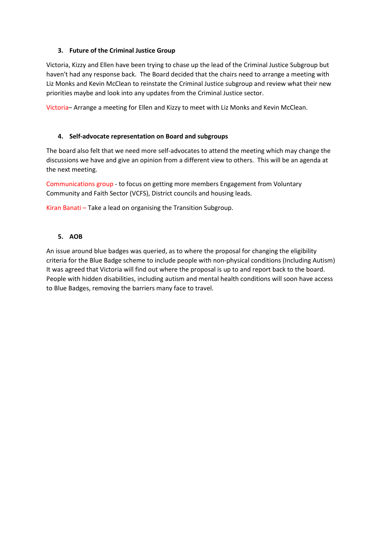### **3. Future of the Criminal Justice Group**

Victoria, Kizzy and Ellen have been trying to chase up the lead of the Criminal Justice Subgroup but haven't had any response back. The Board decided that the chairs need to arrange a meeting with Liz Monks and Kevin McClean to reinstate the Criminal Justice subgroup and review what their new priorities maybe and look into any updates from the Criminal Justice sector.

Victoria– Arrange a meeting for Ellen and Kizzy to meet with Liz Monks and Kevin McClean.

### **4. Self-advocate representation on Board and subgroups**

The board also felt that we need more self-advocates to attend the meeting which may change the discussions we have and give an opinion from a different view to others. This will be an agenda at the next meeting.

Communications group - to focus on getting more members Engagement from Voluntary Community and Faith Sector (VCFS), District councils and housing leads.

Kiran Banati – Take a lead on organising the Transition Subgroup.

### **5. AOB**

An issue around blue badges was queried, as to where the proposal for changing the eligibility criteria for the Blue Badge scheme to include people with non-physical conditions (Including Autism) It was agreed that Victoria will find out where the proposal is up to and report back to the board. People with hidden disabilities, including autism and mental health conditions will soon have access to Blue Badges, removing the barriers many face to travel.